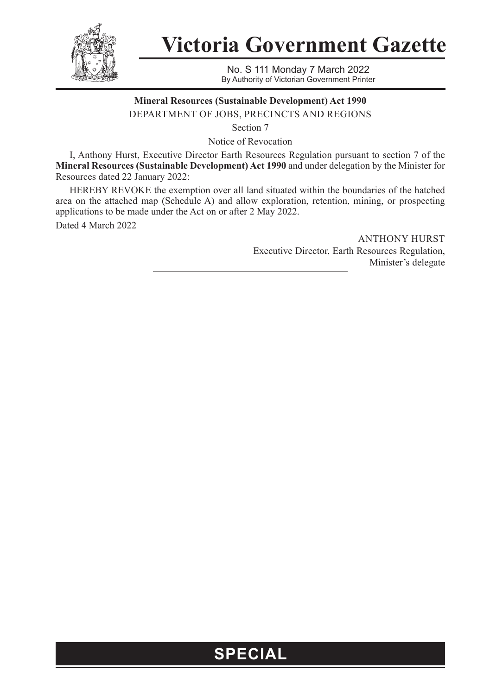

**Victoria Government Gazette**

No. S 111 Monday 7 March 2022 By Authority of Victorian Government Printer

#### **Mineral Resources (Sustainable Development) Act 1990**

DEPARTMENT OF JOBS, PRECINCTS AND REGIONS

Section 7

Notice of Revocation

I, Anthony Hurst, Executive Director Earth Resources Regulation pursuant to section 7 of the **Mineral Resources (Sustainable Development) Act 1990** and under delegation by the Minister for Resources dated 22 January 2022:

HEREBY REVOKE the exemption over all land situated within the boundaries of the hatched area on the attached map (Schedule A) and allow exploration, retention, mining, or prospecting applications to be made under the Act on or after 2 May 2022.

Dated 4 March 2022

ANTHONY HURST Executive Director, Earth Resources Regulation, Minister's delegate

## **SPECIAL**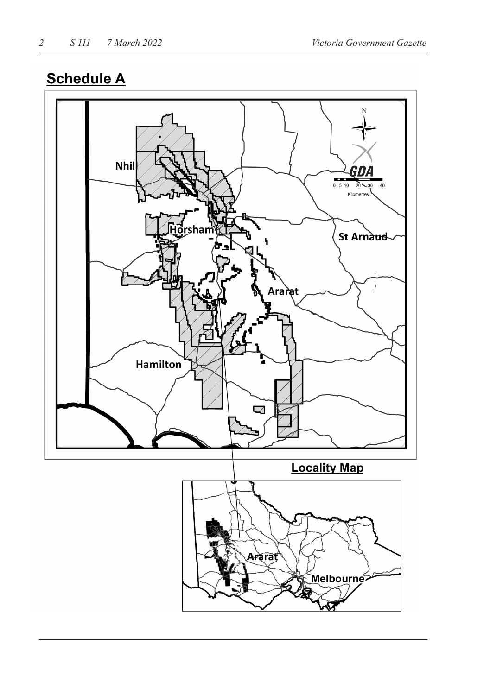### **Schedule A**

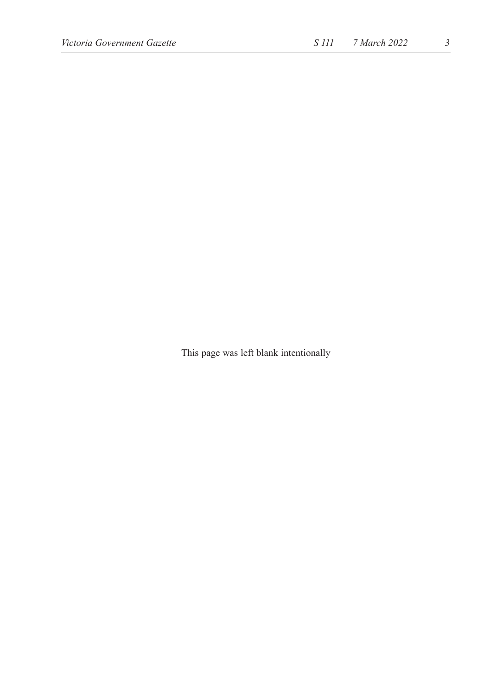This page was left blank intentionally